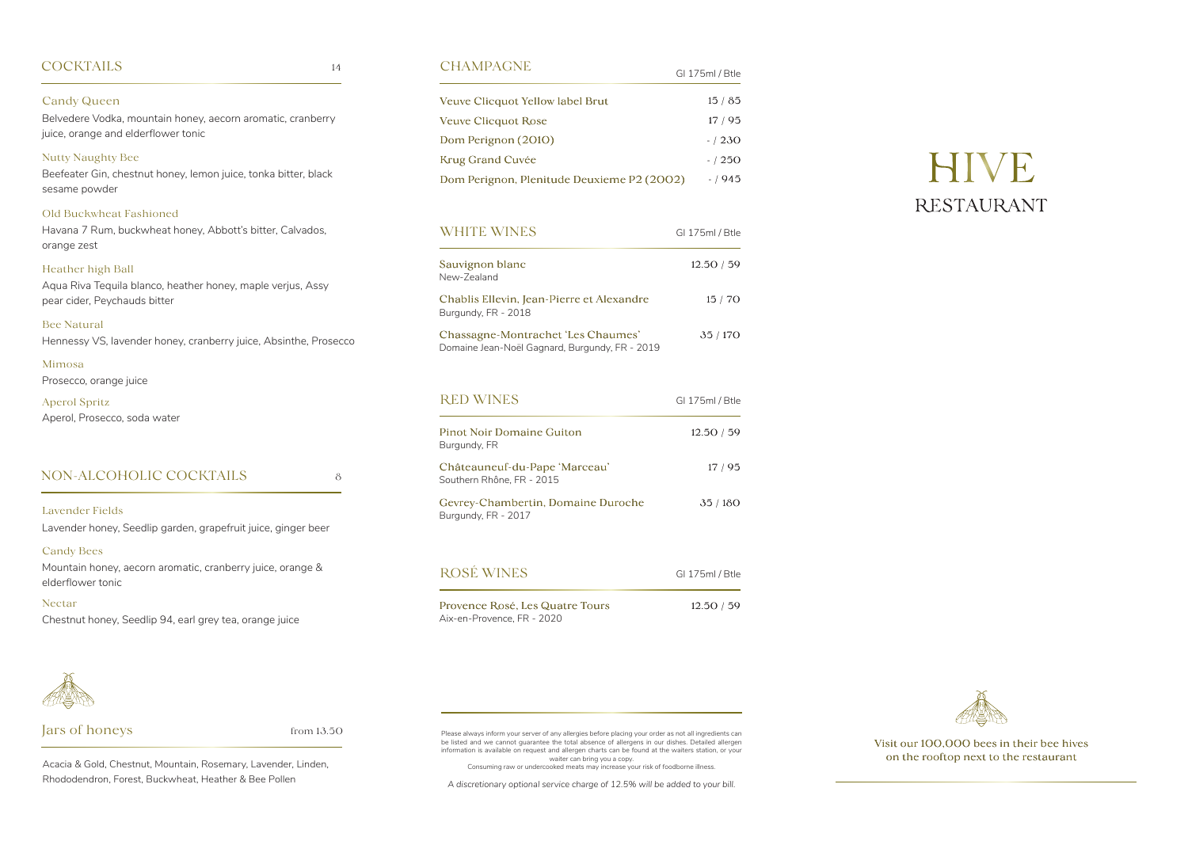### CHAMPAGNE

|                                            | OL 17 JULI DUE |
|--------------------------------------------|----------------|
| <b>Veuve Clicquot Yellow label Brut</b>    | 15/85          |
| Veuve Clicquot Rose                        | 17/95          |
| Dom Perignon (2010)                        | $-1230$        |
| <b>Krug Grand Cuvée</b>                    | $-1250$        |
| Dom Perignon, Plenitude Deuxieme P2 (2002) | $-/945$        |

 $C1175$ mal  $/DH_0$ 

| <b>WHITE WINES</b>                                                                   | GI 175ml / Btle |
|--------------------------------------------------------------------------------------|-----------------|
| Sauvignon blanc<br>New-Zealand                                                       | 12.50 / 59      |
| Chablis Ellevin, Jean-Pierre et Alexandre<br>Burgundy, FR - 2018                     | 15 / 70         |
| Chassagne-Montrachet 'Les Chaumes'<br>Domaine Jean-Noël Gagnard, Burgundy, FR - 2019 | 35/170          |

| <b>RED WINES</b>                                           | GI 175ml / Btle |
|------------------------------------------------------------|-----------------|
| <b>Pinot Noir Domaine Guiton</b><br>Burgundy, FR           | 12.50/59        |
| Châteauneuf-du-Pape 'Marceau'<br>Southern Rhône, FR - 2015 | 17/95           |
| Gevrey-Chambertin, Domaine Duroche<br>Burgundy, FR - 2017  | 35/180          |

| ROSÉ WINES                                                    | GI 175ml / Btle |
|---------------------------------------------------------------|-----------------|
| Provence Rosé, Les Quatre Tours<br>Aix-en-Provence, FR - 2020 | 12.50/59        |

Visit our 100,000 bees in their bee hives on the rooftop next to the restaurant

### **COCKTAILS**

Candy Queen

Belvedere Vodka, mountain honey, aecorn aromatic, cranberry

juice, orange and elderflower tonic

Nutty Naughty Bee

Beefeater Gin, chestnut honey, lemon juice, tonka bitter, black

sesame powder

Old Buckwheat Fashioned

 ${\rm from~13.50}$   ${\rm m}$   ${\rm m}$   ${\rm m}$   ${\rm m}$   ${\rm m}$  Please always inform your server of any allergies before placing your order as not all ingredients can be listed and we cannot guarantee the total absence of allergens in our dishes. Detailed allergen information is available on request and allergen charts can be found at the waiters station, or your waiter can bring you a copy.

Havana 7 Rum, buckwheat honey, Abbott's bitter, Calvados,

orange zest

Heather high Ball

Aqua Riva Tequila blanco, heather honey, maple verjus, Assy

pear cider, Peychauds bitter

Bee Natural

Hennessy VS, lavender honey, cranberry juice, Absinthe, Prosecco

Mimosa

Prosecco, orange juice

Aperol Spritz

Aperol, Prosecco, soda water

14

NON-ALCOHOLIC COCKTAILS

Lavender Fields

Lavender honey, Seedlip garden, grapefruit juice, ginger beer

Candy Bees

Mountain honey, aecorn aromatic, cranberry juice, orange &

elderflower tonic

Nectar

Chestnut honey, Seedlip 94, earl grey tea, orange juice

8

### Jars of honeys

Acacia & Gold, Chestnut, Mountain, Rosemary, Lavender, Linden, Rhododendron, Forest, Buckwheat, Heather & Bee Pollen

Consuming raw or undercooked meats may increase your risk of foodborne illness.

*A discretionary optional service charge of 12.5% will be added to your bill.*

# HIVE RESTAURANT